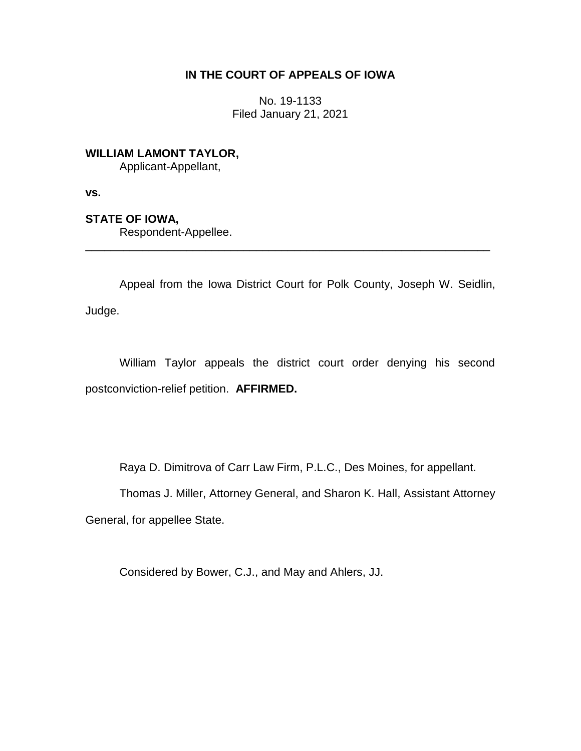# **IN THE COURT OF APPEALS OF IOWA**

No. 19-1133 Filed January 21, 2021

**WILLIAM LAMONT TAYLOR,**

Applicant-Appellant,

**vs.**

**STATE OF IOWA,**

Respondent-Appellee.

Appeal from the Iowa District Court for Polk County, Joseph W. Seidlin, Judge.

\_\_\_\_\_\_\_\_\_\_\_\_\_\_\_\_\_\_\_\_\_\_\_\_\_\_\_\_\_\_\_\_\_\_\_\_\_\_\_\_\_\_\_\_\_\_\_\_\_\_\_\_\_\_\_\_\_\_\_\_\_\_\_\_

William Taylor appeals the district court order denying his second postconviction-relief petition. **AFFIRMED.**

Raya D. Dimitrova of Carr Law Firm, P.L.C., Des Moines, for appellant.

Thomas J. Miller, Attorney General, and Sharon K. Hall, Assistant Attorney General, for appellee State.

Considered by Bower, C.J., and May and Ahlers, JJ.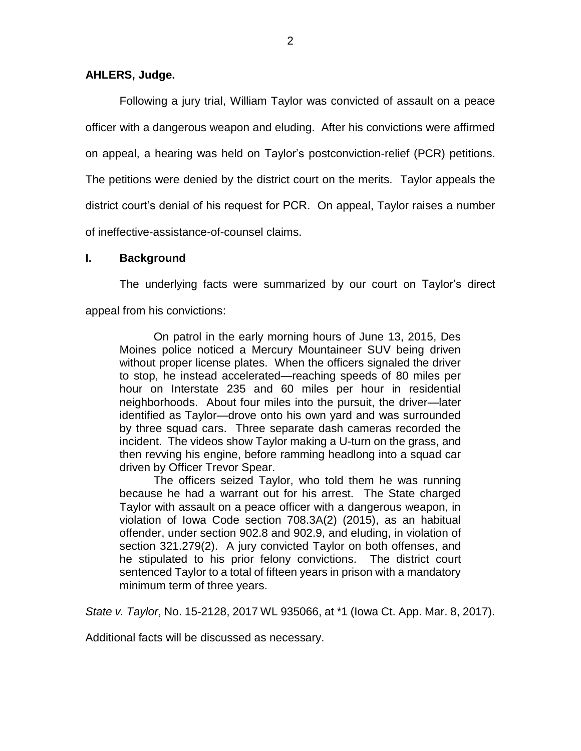## **AHLERS, Judge.**

Following a jury trial, William Taylor was convicted of assault on a peace officer with a dangerous weapon and eluding. After his convictions were affirmed on appeal, a hearing was held on Taylor's postconviction-relief (PCR) petitions. The petitions were denied by the district court on the merits. Taylor appeals the district court's denial of his request for PCR. On appeal, Taylor raises a number of ineffective-assistance-of-counsel claims.

## **I. Background**

The underlying facts were summarized by our court on Taylor's direct appeal from his convictions:

On patrol in the early morning hours of June 13, 2015, Des Moines police noticed a Mercury Mountaineer SUV being driven without proper license plates. When the officers signaled the driver to stop, he instead accelerated—reaching speeds of 80 miles per hour on Interstate 235 and 60 miles per hour in residential neighborhoods. About four miles into the pursuit, the driver—later identified as Taylor—drove onto his own yard and was surrounded by three squad cars. Three separate dash cameras recorded the incident. The videos show Taylor making a U-turn on the grass, and then revving his engine, before ramming headlong into a squad car driven by Officer Trevor Spear.

The officers seized Taylor, who told them he was running because he had a warrant out for his arrest. The State charged Taylor with assault on a peace officer with a dangerous weapon, in violation of Iowa Code section 708.3A(2) (2015), as an habitual offender, under section 902.8 and 902.9, and eluding, in violation of section 321.279(2). A jury convicted Taylor on both offenses, and he stipulated to his prior felony convictions. The district court sentenced Taylor to a total of fifteen years in prison with a mandatory minimum term of three years.

*State v. Taylor*, No. 15-2128, 2017 WL 935066, at \*1 (Iowa Ct. App. Mar. 8, 2017).

Additional facts will be discussed as necessary.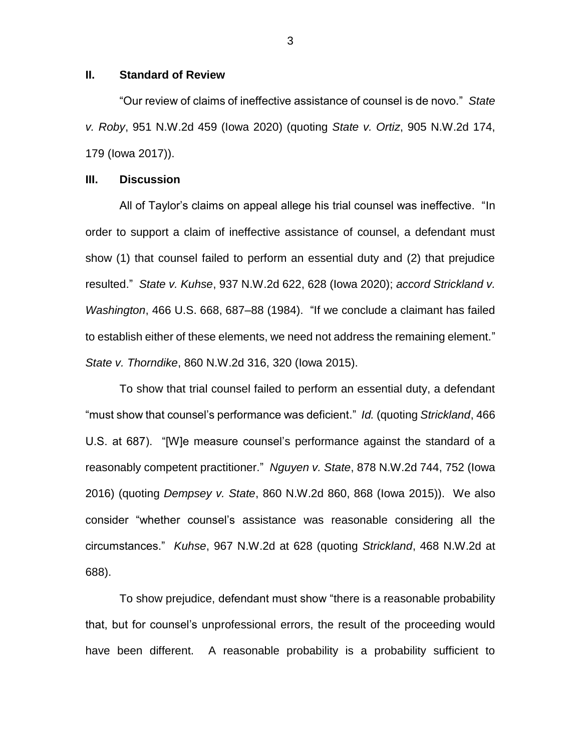### **II. Standard of Review**

"Our review of claims of ineffective assistance of counsel is de novo." *State v. Roby*, 951 N.W.2d 459 (Iowa 2020) (quoting *State v. Ortiz*, 905 N.W.2d 174, 179 (Iowa 2017)).

### **III. Discussion**

All of Taylor's claims on appeal allege his trial counsel was ineffective. "In order to support a claim of ineffective assistance of counsel, a defendant must show (1) that counsel failed to perform an essential duty and (2) that prejudice resulted." *State v. Kuhse*, 937 N.W.2d 622, 628 (Iowa 2020); *accord Strickland v. Washington*, 466 U.S. 668, 687–88 (1984). "If we conclude a claimant has failed to establish either of these elements, we need not address the remaining element." *State v. Thorndike*, 860 N.W.2d 316, 320 (Iowa 2015).

To show that trial counsel failed to perform an essential duty, a defendant "must show that counsel's performance was deficient." *Id.* (quoting *Strickland*, 466 U.S. at 687). "[W]e measure counsel's performance against the standard of a reasonably competent practitioner." *Nguyen v. State*, 878 N.W.2d 744, 752 (Iowa 2016) (quoting *Dempsey v. State*, 860 N.W.2d 860, 868 (Iowa 2015)). We also consider "whether counsel's assistance was reasonable considering all the circumstances." *Kuhse*, 967 N.W.2d at 628 (quoting *Strickland*, 468 N.W.2d at 688).

To show prejudice, defendant must show "there is a reasonable probability that, but for counsel's unprofessional errors, the result of the proceeding would have been different. A reasonable probability is a probability sufficient to

3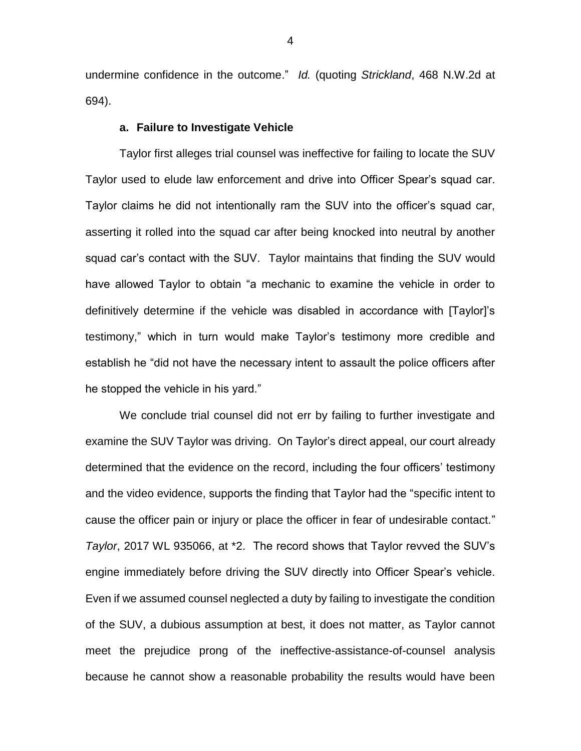undermine confidence in the outcome." *Id.* (quoting *Strickland*, 468 N.W.2d at 694).

#### **a. Failure to Investigate Vehicle**

Taylor first alleges trial counsel was ineffective for failing to locate the SUV Taylor used to elude law enforcement and drive into Officer Spear's squad car. Taylor claims he did not intentionally ram the SUV into the officer's squad car, asserting it rolled into the squad car after being knocked into neutral by another squad car's contact with the SUV. Taylor maintains that finding the SUV would have allowed Taylor to obtain "a mechanic to examine the vehicle in order to definitively determine if the vehicle was disabled in accordance with [Taylor]'s testimony," which in turn would make Taylor's testimony more credible and establish he "did not have the necessary intent to assault the police officers after he stopped the vehicle in his yard."

We conclude trial counsel did not err by failing to further investigate and examine the SUV Taylor was driving. On Taylor's direct appeal, our court already determined that the evidence on the record, including the four officers' testimony and the video evidence, supports the finding that Taylor had the "specific intent to cause the officer pain or injury or place the officer in fear of undesirable contact." *Taylor*, 2017 WL 935066, at \*2. The record shows that Taylor revved the SUV's engine immediately before driving the SUV directly into Officer Spear's vehicle. Even if we assumed counsel neglected a duty by failing to investigate the condition of the SUV, a dubious assumption at best, it does not matter, as Taylor cannot meet the prejudice prong of the ineffective-assistance-of-counsel analysis because he cannot show a reasonable probability the results would have been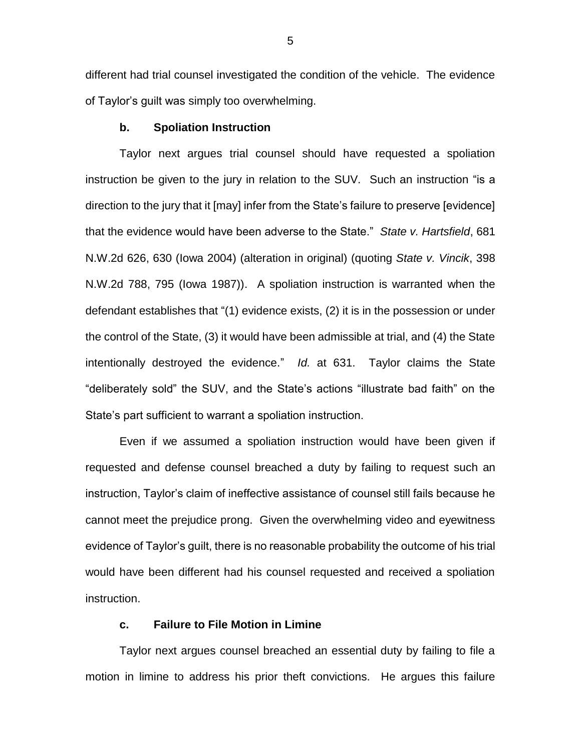different had trial counsel investigated the condition of the vehicle. The evidence of Taylor's guilt was simply too overwhelming.

#### **b. Spoliation Instruction**

Taylor next argues trial counsel should have requested a spoliation instruction be given to the jury in relation to the SUV. Such an instruction "is a direction to the jury that it [may] infer from the State's failure to preserve [evidence] that the evidence would have been adverse to the State." *State v. Hartsfield*, 681 N.W.2d 626, 630 (Iowa 2004) (alteration in original) (quoting *State v. Vincik*, 398 N.W.2d 788, 795 (Iowa 1987)). A spoliation instruction is warranted when the defendant establishes that "(1) evidence exists, (2) it is in the possession or under the control of the State, (3) it would have been admissible at trial, and (4) the State intentionally destroyed the evidence." *Id.* at 631. Taylor claims the State "deliberately sold" the SUV, and the State's actions "illustrate bad faith" on the State's part sufficient to warrant a spoliation instruction.

Even if we assumed a spoliation instruction would have been given if requested and defense counsel breached a duty by failing to request such an instruction, Taylor's claim of ineffective assistance of counsel still fails because he cannot meet the prejudice prong. Given the overwhelming video and eyewitness evidence of Taylor's guilt, there is no reasonable probability the outcome of his trial would have been different had his counsel requested and received a spoliation instruction.

## **c. Failure to File Motion in Limine**

Taylor next argues counsel breached an essential duty by failing to file a motion in limine to address his prior theft convictions. He argues this failure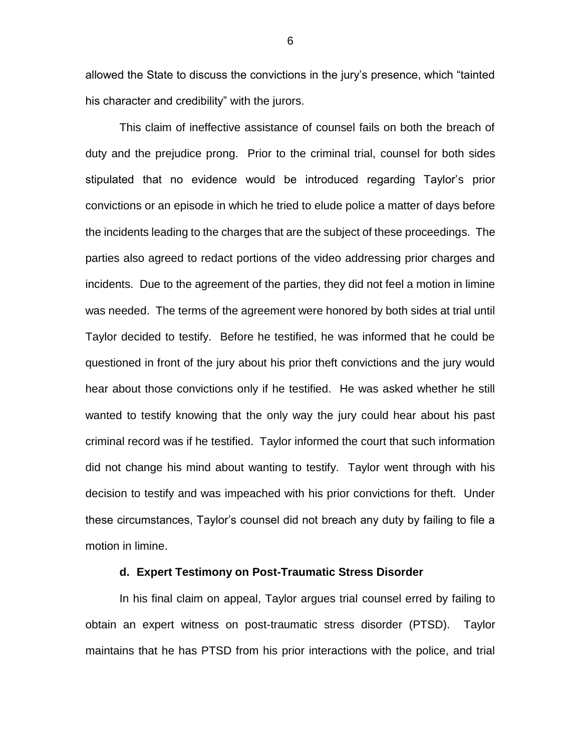allowed the State to discuss the convictions in the jury's presence, which "tainted his character and credibility" with the jurors.

This claim of ineffective assistance of counsel fails on both the breach of duty and the prejudice prong. Prior to the criminal trial, counsel for both sides stipulated that no evidence would be introduced regarding Taylor's prior convictions or an episode in which he tried to elude police a matter of days before the incidents leading to the charges that are the subject of these proceedings. The parties also agreed to redact portions of the video addressing prior charges and incidents. Due to the agreement of the parties, they did not feel a motion in limine was needed. The terms of the agreement were honored by both sides at trial until Taylor decided to testify. Before he testified, he was informed that he could be questioned in front of the jury about his prior theft convictions and the jury would hear about those convictions only if he testified. He was asked whether he still wanted to testify knowing that the only way the jury could hear about his past criminal record was if he testified. Taylor informed the court that such information did not change his mind about wanting to testify. Taylor went through with his decision to testify and was impeached with his prior convictions for theft. Under these circumstances, Taylor's counsel did not breach any duty by failing to file a motion in limine.

### **d. Expert Testimony on Post-Traumatic Stress Disorder**

In his final claim on appeal, Taylor argues trial counsel erred by failing to obtain an expert witness on post-traumatic stress disorder (PTSD). Taylor maintains that he has PTSD from his prior interactions with the police, and trial

6